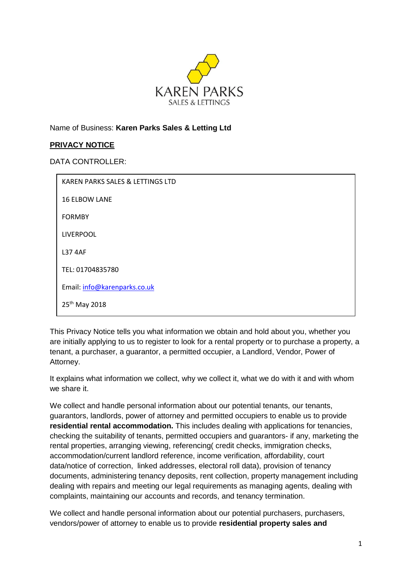

Name of Business: **Karen Parks Sales & Letting Ltd**

## **PRIVACY NOTICE**

DATA CONTROLLER:

| KAREN PARKS SALES & LETTINGS LTD |
|----------------------------------|
| <b>16 ELBOW LANE</b>             |
| <b>FORMBY</b>                    |
| LIVERPOOL                        |
| <b>L37 4AF</b>                   |
| TEL: 01704835780                 |
| Email: info@karenparks.co.uk     |
| 25 <sup>th</sup> May 2018        |

This Privacy Notice tells you what information we obtain and hold about you, whether you are initially applying to us to register to look for a rental property or to purchase a property, a tenant, a purchaser, a guarantor, a permitted occupier, a Landlord, Vendor, Power of Attorney.

It explains what information we collect, why we collect it, what we do with it and with whom we share it.

We collect and handle personal information about our potential tenants, our tenants, guarantors, landlords, power of attorney and permitted occupiers to enable us to provide **residential rental accommodation.** This includes dealing with applications for tenancies, checking the suitability of tenants, permitted occupiers and guarantors- if any, marketing the rental properties, arranging viewing, referencing( credit checks, immigration checks, accommodation/current landlord reference, income verification, affordability, court data/notice of correction, linked addresses, electoral roll data), provision of tenancy documents, administering tenancy deposits, rent collection, property management including dealing with repairs and meeting our legal requirements as managing agents, dealing with complaints, maintaining our accounts and records, and tenancy termination.

We collect and handle personal information about our potential purchasers, purchasers, vendors/power of attorney to enable us to provide **residential property sales and**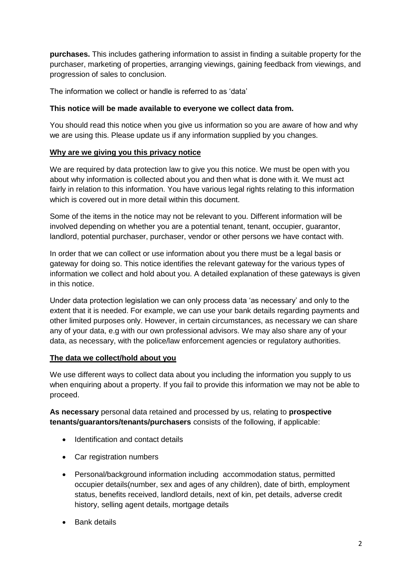**purchases.** This includes gathering information to assist in finding a suitable property for the purchaser, marketing of properties, arranging viewings, gaining feedback from viewings, and progression of sales to conclusion.

The information we collect or handle is referred to as 'data'

### **This notice will be made available to everyone we collect data from.**

You should read this notice when you give us information so you are aware of how and why we are using this. Please update us if any information supplied by you changes.

### **Why are we giving you this privacy notice**

We are required by data protection law to give you this notice. We must be open with you about why information is collected about you and then what is done with it. We must act fairly in relation to this information. You have various legal rights relating to this information which is covered out in more detail within this document.

Some of the items in the notice may not be relevant to you. Different information will be involved depending on whether you are a potential tenant, tenant, occupier, guarantor, landlord, potential purchaser, purchaser, vendor or other persons we have contact with.

In order that we can collect or use information about you there must be a legal basis or gateway for doing so. This notice identifies the relevant gateway for the various types of information we collect and hold about you. A detailed explanation of these gateways is given in this notice.

Under data protection legislation we can only process data 'as necessary' and only to the extent that it is needed. For example, we can use your bank details regarding payments and other limited purposes only. However, in certain circumstances, as necessary we can share any of your data, e.g with our own professional advisors. We may also share any of your data, as necessary, with the police/law enforcement agencies or regulatory authorities.

#### **The data we collect/hold about you**

We use different ways to collect data about you including the information you supply to us when enquiring about a property. If you fail to provide this information we may not be able to proceed.

**As necessary** personal data retained and processed by us, relating to **prospective tenants/guarantors/tenants/purchasers** consists of the following, if applicable:

- Identification and contact details
- Car registration numbers
- Personal/background information including accommodation status, permitted occupier details(number, sex and ages of any children), date of birth, employment status, benefits received, landlord details, next of kin, pet details, adverse credit history, selling agent details, mortgage details
- Bank details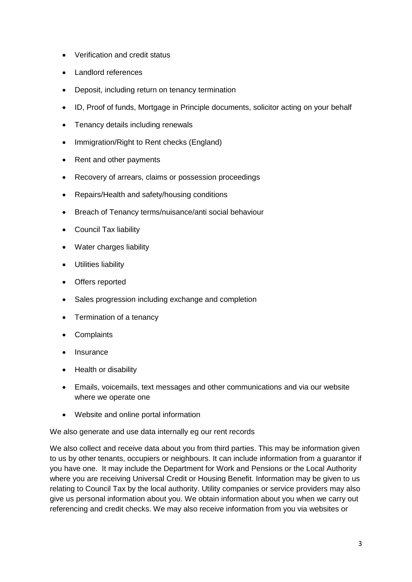- Verification and credit status
- Landlord references
- Deposit, including return on tenancy termination
- ID, Proof of funds, Mortgage in Principle documents, solicitor acting on your behalf
- Tenancy details including renewals
- Immigration/Right to Rent checks (England)
- Rent and other payments
- Recovery of arrears, claims or possession proceedings
- Repairs/Health and safety/housing conditions
- Breach of Tenancy terms/nuisance/anti social behaviour
- Council Tax liability
- Water charges liability
- Utilities liability
- Offers reported
- Sales progression including exchange and completion
- Termination of a tenancy
- Complaints
- Insurance
- Health or disability
- Emails, voicemails, text messages and other communications and via our website where we operate one
- Website and online portal information

We also generate and use data internally eg our rent records

We also collect and receive data about you from third parties. This may be information given to us by other tenants, occupiers or neighbours. It can include information from a guarantor if you have one. It may include the Department for Work and Pensions or the Local Authority where you are receiving Universal Credit or Housing Benefit. Information may be given to us relating to Council Tax by the local authority. Utility companies or service providers may also give us personal information about you. We obtain information about you when we carry out referencing and credit checks. We may also receive information from you via websites or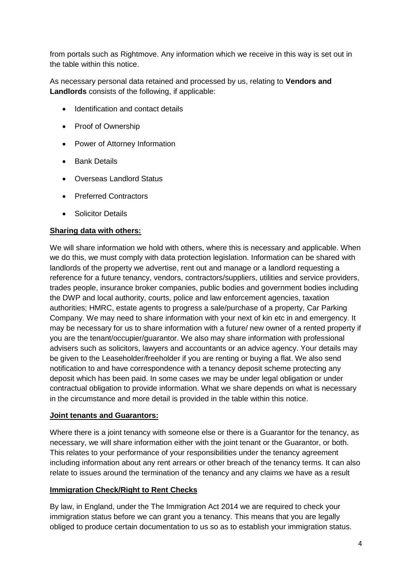from portals such as Rightmove. Any information which we receive in this way is set out in the table within this notice.

As necessary personal data retained and processed by us, relating to **Vendors and Landlords** consists of the following, if applicable:

- Identification and contact details
- Proof of Ownership
- Power of Attorney Information
- **Bank Details**
- Overseas Landlord Status
- Preferred Contractors
- **Solicitor Details**

## **Sharing data with others:**

We will share information we hold with others, where this is necessary and applicable. When we do this, we must comply with data protection legislation. Information can be shared with landlords of the property we advertise, rent out and manage or a landlord requesting a reference for a future tenancy, vendors, contractors/suppliers, utilities and service providers, trades people, insurance broker companies, public bodies and government bodies including the DWP and local authority, courts, police and law enforcement agencies, taxation authorities; HMRC, estate agents to progress a sale/purchase of a property, Car Parking Company. We may need to share information with your next of kin etc in and emergency. It may be necessary for us to share information with a future/ new owner of a rented property if you are the tenant/occupier/guarantor. We also may share information with professional advisers such as solicitors, lawyers and accountants or an advice agency. Your details may be given to the Leaseholder/freeholder if you are renting or buying a flat. We also send notification to and have correspondence with a tenancy deposit scheme protecting any deposit which has been paid. In some cases we may be under legal obligation or under contractual obligation to provide information. What we share depends on what is necessary in the circumstance and more detail is provided in the table within this notice.

#### **Joint tenants and Guarantors:**

Where there is a joint tenancy with someone else or there is a Guarantor for the tenancy, as necessary, we will share information either with the joint tenant or the Guarantor, or both. This relates to your performance of your responsibilities under the tenancy agreement including information about any rent arrears or other breach of the tenancy terms. It can also relate to issues around the termination of the tenancy and any claims we have as a result

## **Immigration Check/Right to Rent Checks**

By law, in England, under the The Immigration Act 2014 we are required to check your immigration status before we can grant you a tenancy. This means that you are legally obliged to produce certain documentation to us so as to establish your immigration status.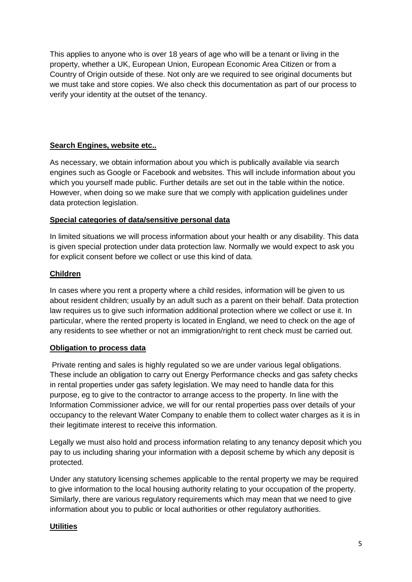This applies to anyone who is over 18 years of age who will be a tenant or living in the property, whether a UK, European Union, European Economic Area Citizen or from a Country of Origin outside of these. Not only are we required to see original documents but we must take and store copies. We also check this documentation as part of our process to verify your identity at the outset of the tenancy.

## **Search Engines, website etc..**

As necessary, we obtain information about you which is publically available via search engines such as Google or Facebook and websites. This will include information about you which you yourself made public. Further details are set out in the table within the notice. However, when doing so we make sure that we comply with application guidelines under data protection legislation.

## **Special categories of data/sensitive personal data**

In limited situations we will process information about your health or any disability. This data is given special protection under data protection law. Normally we would expect to ask you for explicit consent before we collect or use this kind of data.

# **Children**

In cases where you rent a property where a child resides, information will be given to us about resident children; usually by an adult such as a parent on their behalf. Data protection law requires us to give such information additional protection where we collect or use it. In particular, where the rented property is located in England, we need to check on the age of any residents to see whether or not an immigration/right to rent check must be carried out.

## **Obligation to process data**

Private renting and sales is highly regulated so we are under various legal obligations. These include an obligation to carry out Energy Performance checks and gas safety checks in rental properties under gas safety legislation. We may need to handle data for this purpose, eg to give to the contractor to arrange access to the property. In line with the Information Commissioner advice, we will for our rental properties pass over details of your occupancy to the relevant Water Company to enable them to collect water charges as it is in their legitimate interest to receive this information.

Legally we must also hold and process information relating to any tenancy deposit which you pay to us including sharing your information with a deposit scheme by which any deposit is protected.

Under any statutory licensing schemes applicable to the rental property we may be required to give information to the local housing authority relating to your occupation of the property. Similarly, there are various regulatory requirements which may mean that we need to give information about you to public or local authorities or other regulatory authorities.

## **Utilities**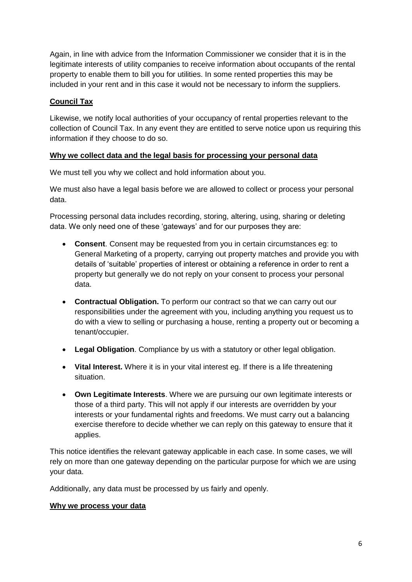Again, in line with advice from the Information Commissioner we consider that it is in the legitimate interests of utility companies to receive information about occupants of the rental property to enable them to bill you for utilities. In some rented properties this may be included in your rent and in this case it would not be necessary to inform the suppliers.

## **Council Tax**

Likewise, we notify local authorities of your occupancy of rental properties relevant to the collection of Council Tax. In any event they are entitled to serve notice upon us requiring this information if they choose to do so.

## **Why we collect data and the legal basis for processing your personal data**

We must tell you why we collect and hold information about you.

We must also have a legal basis before we are allowed to collect or process your personal data.

Processing personal data includes recording, storing, altering, using, sharing or deleting data. We only need one of these 'gateways' and for our purposes they are:

- **Consent**. Consent may be requested from you in certain circumstances eg: to General Marketing of a property, carrying out property matches and provide you with details of 'suitable' properties of interest or obtaining a reference in order to rent a property but generally we do not reply on your consent to process your personal data.
- **Contractual Obligation.** To perform our contract so that we can carry out our responsibilities under the agreement with you, including anything you request us to do with a view to selling or purchasing a house, renting a property out or becoming a tenant/occupier.
- **Legal Obligation**. Compliance by us with a statutory or other legal obligation.
- **Vital Interest.** Where it is in your vital interest eg. If there is a life threatening situation.
- **Own Legitimate Interests**. Where we are pursuing our own legitimate interests or those of a third party. This will not apply if our interests are overridden by your interests or your fundamental rights and freedoms. We must carry out a balancing exercise therefore to decide whether we can reply on this gateway to ensure that it applies.

This notice identifies the relevant gateway applicable in each case. In some cases, we will rely on more than one gateway depending on the particular purpose for which we are using your data.

Additionally, any data must be processed by us fairly and openly.

## **Why we process your data**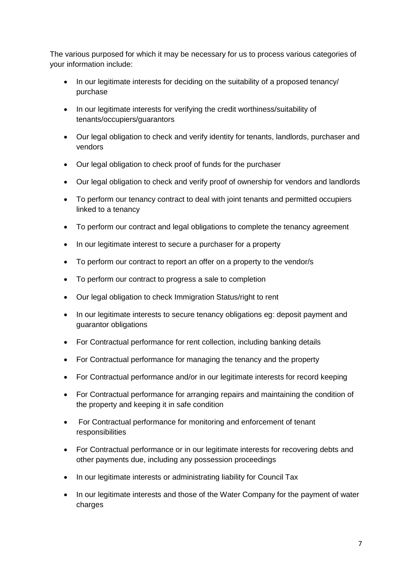The various purposed for which it may be necessary for us to process various categories of your information include:

- In our legitimate interests for deciding on the suitability of a proposed tenancy/ purchase
- In our legitimate interests for verifying the credit worthiness/suitability of tenants/occupiers/guarantors
- Our legal obligation to check and verify identity for tenants, landlords, purchaser and vendors
- Our legal obligation to check proof of funds for the purchaser
- Our legal obligation to check and verify proof of ownership for vendors and landlords
- To perform our tenancy contract to deal with joint tenants and permitted occupiers linked to a tenancy
- To perform our contract and legal obligations to complete the tenancy agreement
- In our legitimate interest to secure a purchaser for a property
- To perform our contract to report an offer on a property to the vendor/s
- To perform our contract to progress a sale to completion
- Our legal obligation to check Immigration Status/right to rent
- In our legitimate interests to secure tenancy obligations eg: deposit payment and guarantor obligations
- For Contractual performance for rent collection, including banking details
- For Contractual performance for managing the tenancy and the property
- For Contractual performance and/or in our legitimate interests for record keeping
- For Contractual performance for arranging repairs and maintaining the condition of the property and keeping it in safe condition
- For Contractual performance for monitoring and enforcement of tenant responsibilities
- For Contractual performance or in our legitimate interests for recovering debts and other payments due, including any possession proceedings
- In our legitimate interests or administrating liability for Council Tax
- In our legitimate interests and those of the Water Company for the payment of water charges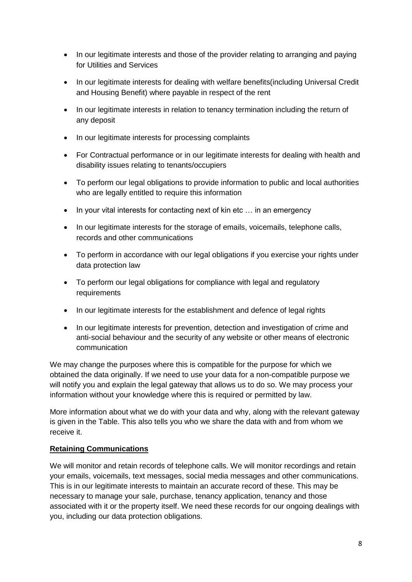- In our legitimate interests and those of the provider relating to arranging and paying for Utilities and Services
- In our legitimate interests for dealing with welfare benefits(including Universal Credit and Housing Benefit) where payable in respect of the rent
- In our legitimate interests in relation to tenancy termination including the return of any deposit
- In our legitimate interests for processing complaints
- For Contractual performance or in our legitimate interests for dealing with health and disability issues relating to tenants/occupiers
- To perform our legal obligations to provide information to public and local authorities who are legally entitled to require this information
- In your vital interests for contacting next of kin etc ... in an emergency
- In our legitimate interests for the storage of emails, voicemails, telephone calls, records and other communications
- To perform in accordance with our legal obligations if you exercise your rights under data protection law
- To perform our legal obligations for compliance with legal and regulatory requirements
- In our legitimate interests for the establishment and defence of legal rights
- In our legitimate interests for prevention, detection and investigation of crime and anti-social behaviour and the security of any website or other means of electronic communication

We may change the purposes where this is compatible for the purpose for which we obtained the data originally. If we need to use your data for a non-compatible purpose we will notify you and explain the legal gateway that allows us to do so. We may process your information without your knowledge where this is required or permitted by law.

More information about what we do with your data and why, along with the relevant gateway is given in the Table. This also tells you who we share the data with and from whom we receive it.

#### **Retaining Communications**

We will monitor and retain records of telephone calls. We will monitor recordings and retain your emails, voicemails, text messages, social media messages and other communications. This is in our legitimate interests to maintain an accurate record of these. This may be necessary to manage your sale, purchase, tenancy application, tenancy and those associated with it or the property itself. We need these records for our ongoing dealings with you, including our data protection obligations.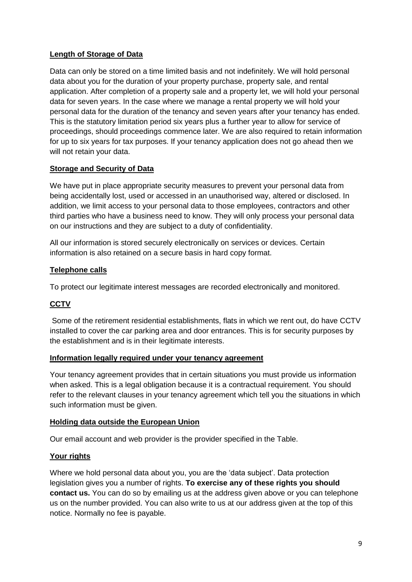## **Length of Storage of Data**

Data can only be stored on a time limited basis and not indefinitely. We will hold personal data about you for the duration of your property purchase, property sale, and rental application. After completion of a property sale and a property let, we will hold your personal data for seven years. In the case where we manage a rental property we will hold your personal data for the duration of the tenancy and seven years after your tenancy has ended. This is the statutory limitation period six years plus a further year to allow for service of proceedings, should proceedings commence later. We are also required to retain information for up to six years for tax purposes. If your tenancy application does not go ahead then we will not retain your data.

### **Storage and Security of Data**

We have put in place appropriate security measures to prevent your personal data from being accidentally lost, used or accessed in an unauthorised way, altered or disclosed. In addition, we limit access to your personal data to those employees, contractors and other third parties who have a business need to know. They will only process your personal data on our instructions and they are subject to a duty of confidentiality.

All our information is stored securely electronically on services or devices. Certain information is also retained on a secure basis in hard copy format.

### **Telephone calls**

To protect our legitimate interest messages are recorded electronically and monitored.

# **CCTV**

Some of the retirement residential establishments, flats in which we rent out, do have CCTV installed to cover the car parking area and door entrances. This is for security purposes by the establishment and is in their legitimate interests.

#### **Information legally required under your tenancy agreement**

Your tenancy agreement provides that in certain situations you must provide us information when asked. This is a legal obligation because it is a contractual requirement. You should refer to the relevant clauses in your tenancy agreement which tell you the situations in which such information must be given.

#### **Holding data outside the European Union**

Our email account and web provider is the provider specified in the Table.

## **Your rights**

Where we hold personal data about you, you are the 'data subject'. Data protection legislation gives you a number of rights. **To exercise any of these rights you should contact us.** You can do so by emailing us at the address given above or you can telephone us on the number provided. You can also write to us at our address given at the top of this notice. Normally no fee is payable.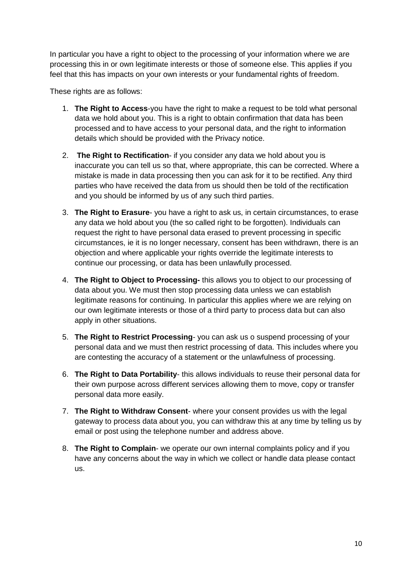In particular you have a right to object to the processing of your information where we are processing this in or own legitimate interests or those of someone else. This applies if you feel that this has impacts on your own interests or your fundamental rights of freedom.

These rights are as follows:

- 1. **The Right to Access**-you have the right to make a request to be told what personal data we hold about you. This is a right to obtain confirmation that data has been processed and to have access to your personal data, and the right to information details which should be provided with the Privacy notice.
- 2. **The Right to Rectification** if you consider any data we hold about you is inaccurate you can tell us so that, where appropriate, this can be corrected. Where a mistake is made in data processing then you can ask for it to be rectified. Any third parties who have received the data from us should then be told of the rectification and you should be informed by us of any such third parties.
- 3. **The Right to Erasure** you have a right to ask us, in certain circumstances, to erase any data we hold about you (the so called right to be forgotten). Individuals can request the right to have personal data erased to prevent processing in specific circumstances, ie it is no longer necessary, consent has been withdrawn, there is an objection and where applicable your rights override the legitimate interests to continue our processing, or data has been unlawfully processed.
- 4. **The Right to Object to Processing-** this allows you to object to our processing of data about you. We must then stop processing data unless we can establish legitimate reasons for continuing. In particular this applies where we are relying on our own legitimate interests or those of a third party to process data but can also apply in other situations.
- 5. **The Right to Restrict Processing** you can ask us o suspend processing of your personal data and we must then restrict processing of data. This includes where you are contesting the accuracy of a statement or the unlawfulness of processing.
- 6. **The Right to Data Portability** this allows individuals to reuse their personal data for their own purpose across different services allowing them to move, copy or transfer personal data more easily.
- 7. **The Right to Withdraw Consent** where your consent provides us with the legal gateway to process data about you, you can withdraw this at any time by telling us by email or post using the telephone number and address above.
- 8. **The Right to Complain** we operate our own internal complaints policy and if you have any concerns about the way in which we collect or handle data please contact us.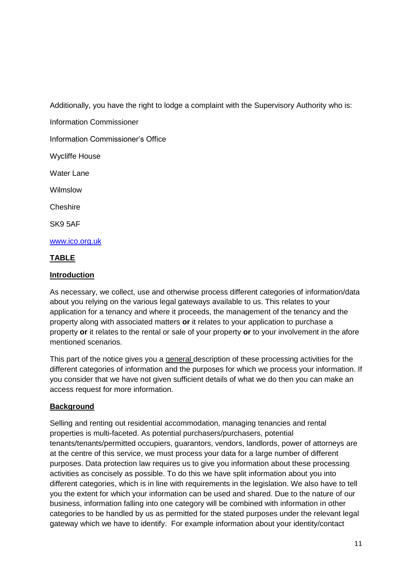Additionally, you have the right to lodge a complaint with the Supervisory Authority who is:

Information Commissioner

Information Commissioner's Office

Wycliffe House

Water Lane

Wilmslow

**Cheshire** 

SK9 5AF

[www.ico.org.uk](http://www.ico.org.uk/)

## **TABLE**

### **Introduction**

As necessary, we collect, use and otherwise process different categories of information/data about you relying on the various legal gateways available to us. This relates to your application for a tenancy and where it proceeds, the management of the tenancy and the property along with associated matters **or** it relates to your application to purchase a property **or** it relates to the rental or sale of your property **or** to your involvement in the afore mentioned scenarios.

This part of the notice gives you a general description of these processing activities for the different categories of information and the purposes for which we process your information. If you consider that we have not given sufficient details of what we do then you can make an access request for more information.

## **Background**

Selling and renting out residential accommodation, managing tenancies and rental properties is multi-faceted. As potential purchasers/purchasers, potential tenants/tenants/permitted occupiers, guarantors, vendors, landlords, power of attorneys are at the centre of this service, we must process your data for a large number of different purposes. Data protection law requires us to give you information about these processing activities as concisely as possible. To do this we have split information about you into different categories, which is in line with requirements in the legislation. We also have to tell you the extent for which your information can be used and shared. Due to the nature of our business, information falling into one category will be combined with information in other categories to be handled by us as permitted for the stated purposes under the relevant legal gateway which we have to identify. For example information about your identity/contact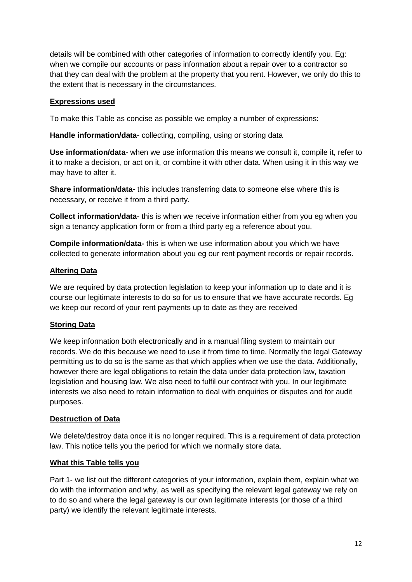details will be combined with other categories of information to correctly identify you. Eg: when we compile our accounts or pass information about a repair over to a contractor so that they can deal with the problem at the property that you rent. However, we only do this to the extent that is necessary in the circumstances.

### **Expressions used**

To make this Table as concise as possible we employ a number of expressions:

**Handle information/data-** collecting, compiling, using or storing data

**Use information/data-** when we use information this means we consult it, compile it, refer to it to make a decision, or act on it, or combine it with other data. When using it in this way we may have to alter it.

**Share information/data-** this includes transferring data to someone else where this is necessary, or receive it from a third party.

**Collect information/data-** this is when we receive information either from you eg when you sign a tenancy application form or from a third party eg a reference about you.

**Compile information/data-** this is when we use information about you which we have collected to generate information about you eg our rent payment records or repair records.

## **Altering Data**

We are required by data protection legislation to keep your information up to date and it is course our legitimate interests to do so for us to ensure that we have accurate records. Eg we keep our record of your rent payments up to date as they are received

## **Storing Data**

We keep information both electronically and in a manual filing system to maintain our records. We do this because we need to use it from time to time. Normally the legal Gateway permitting us to do so is the same as that which applies when we use the data. Additionally, however there are legal obligations to retain the data under data protection law, taxation legislation and housing law. We also need to fulfil our contract with you. In our legitimate interests we also need to retain information to deal with enquiries or disputes and for audit purposes.

## **Destruction of Data**

We delete/destroy data once it is no longer required. This is a requirement of data protection law. This notice tells you the period for which we normally store data.

## **What this Table tells you**

Part 1- we list out the different categories of your information, explain them, explain what we do with the information and why, as well as specifying the relevant legal gateway we rely on to do so and where the legal gateway is our own legitimate interests (or those of a third party) we identify the relevant legitimate interests.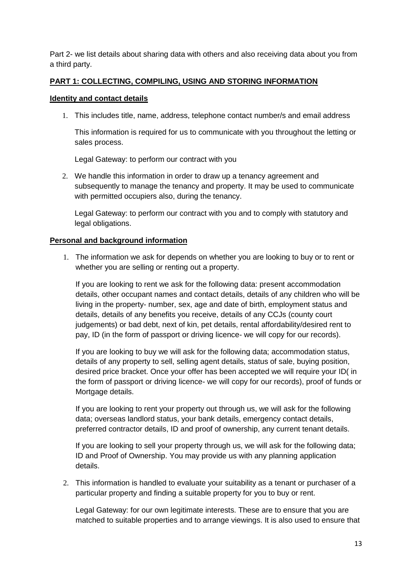Part 2- we list details about sharing data with others and also receiving data about you from a third party.

### **PART 1: COLLECTING, COMPILING, USING AND STORING INFORMATION**

#### **Identity and contact details**

1. This includes title, name, address, telephone contact number/s and email address

This information is required for us to communicate with you throughout the letting or sales process.

Legal Gateway: to perform our contract with you

2. We handle this information in order to draw up a tenancy agreement and subsequently to manage the tenancy and property. It may be used to communicate with permitted occupiers also, during the tenancy.

Legal Gateway: to perform our contract with you and to comply with statutory and legal obligations.

#### **Personal and background information**

1. The information we ask for depends on whether you are looking to buy or to rent or whether you are selling or renting out a property.

If you are looking to rent we ask for the following data: present accommodation details, other occupant names and contact details, details of any children who will be living in the property- number, sex, age and date of birth, employment status and details, details of any benefits you receive, details of any CCJs (county court judgements) or bad debt, next of kin, pet details, rental affordability/desired rent to pay, ID (in the form of passport or driving licence- we will copy for our records).

If you are looking to buy we will ask for the following data; accommodation status, details of any property to sell, selling agent details, status of sale, buying position, desired price bracket. Once your offer has been accepted we will require your ID( in the form of passport or driving licence- we will copy for our records), proof of funds or Mortgage details.

If you are looking to rent your property out through us, we will ask for the following data; overseas landlord status, your bank details, emergency contact details, preferred contractor details, ID and proof of ownership, any current tenant details.

If you are looking to sell your property through us, we will ask for the following data; ID and Proof of Ownership. You may provide us with any planning application details.

2. This information is handled to evaluate your suitability as a tenant or purchaser of a particular property and finding a suitable property for you to buy or rent.

Legal Gateway: for our own legitimate interests. These are to ensure that you are matched to suitable properties and to arrange viewings. It is also used to ensure that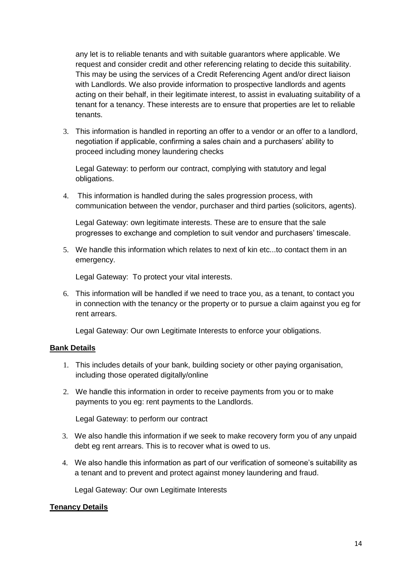any let is to reliable tenants and with suitable guarantors where applicable. We request and consider credit and other referencing relating to decide this suitability. This may be using the services of a Credit Referencing Agent and/or direct liaison with Landlords. We also provide information to prospective landlords and agents acting on their behalf, in their legitimate interest, to assist in evaluating suitability of a tenant for a tenancy. These interests are to ensure that properties are let to reliable tenants.

3. This information is handled in reporting an offer to a vendor or an offer to a landlord, negotiation if applicable, confirming a sales chain and a purchasers' ability to proceed including money laundering checks

Legal Gateway: to perform our contract, complying with statutory and legal obligations.

4. This information is handled during the sales progression process, with communication between the vendor, purchaser and third parties (solicitors, agents).

Legal Gateway: own legitimate interests. These are to ensure that the sale progresses to exchange and completion to suit vendor and purchasers' timescale.

5. We handle this information which relates to next of kin etc...to contact them in an emergency.

Legal Gateway: To protect your vital interests.

6. This information will be handled if we need to trace you, as a tenant, to contact you in connection with the tenancy or the property or to pursue a claim against you eg for rent arrears.

Legal Gateway: Our own Legitimate Interests to enforce your obligations.

#### **Bank Details**

- 1. This includes details of your bank, building society or other paying organisation, including those operated digitally/online
- 2. We handle this information in order to receive payments from you or to make payments to you eg: rent payments to the Landlords.

Legal Gateway: to perform our contract

- 3. We also handle this information if we seek to make recovery form you of any unpaid debt eg rent arrears. This is to recover what is owed to us.
- 4. We also handle this information as part of our verification of someone's suitability as a tenant and to prevent and protect against money laundering and fraud.

Legal Gateway: Our own Legitimate Interests

#### **Tenancy Details**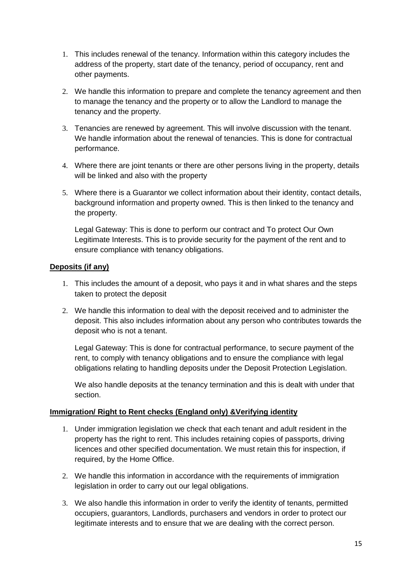- 1. This includes renewal of the tenancy. Information within this category includes the address of the property, start date of the tenancy, period of occupancy, rent and other payments.
- 2. We handle this information to prepare and complete the tenancy agreement and then to manage the tenancy and the property or to allow the Landlord to manage the tenancy and the property.
- 3. Tenancies are renewed by agreement. This will involve discussion with the tenant. We handle information about the renewal of tenancies. This is done for contractual performance.
- 4. Where there are joint tenants or there are other persons living in the property, details will be linked and also with the property
- 5. Where there is a Guarantor we collect information about their identity, contact details, background information and property owned. This is then linked to the tenancy and the property.

Legal Gateway: This is done to perform our contract and To protect Our Own Legitimate Interests. This is to provide security for the payment of the rent and to ensure compliance with tenancy obligations.

### **Deposits (if any)**

- 1. This includes the amount of a deposit, who pays it and in what shares and the steps taken to protect the deposit
- 2. We handle this information to deal with the deposit received and to administer the deposit. This also includes information about any person who contributes towards the deposit who is not a tenant.

Legal Gateway: This is done for contractual performance, to secure payment of the rent, to comply with tenancy obligations and to ensure the compliance with legal obligations relating to handling deposits under the Deposit Protection Legislation.

We also handle deposits at the tenancy termination and this is dealt with under that section.

#### **Immigration/ Right to Rent checks (England only) &Verifying identity**

- 1. Under immigration legislation we check that each tenant and adult resident in the property has the right to rent. This includes retaining copies of passports, driving licences and other specified documentation. We must retain this for inspection, if required, by the Home Office.
- 2. We handle this information in accordance with the requirements of immigration legislation in order to carry out our legal obligations.
- 3. We also handle this information in order to verify the identity of tenants, permitted occupiers, guarantors, Landlords, purchasers and vendors in order to protect our legitimate interests and to ensure that we are dealing with the correct person.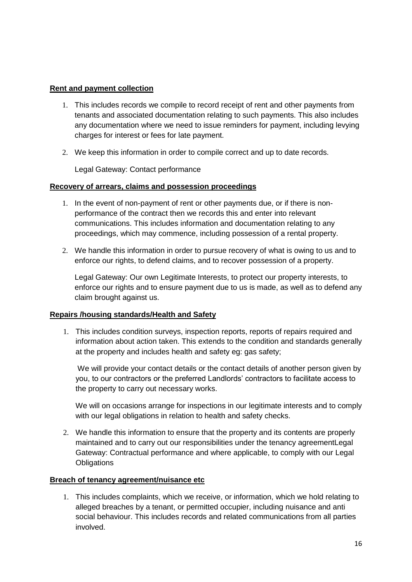### **Rent and payment collection**

- 1. This includes records we compile to record receipt of rent and other payments from tenants and associated documentation relating to such payments. This also includes any documentation where we need to issue reminders for payment, including levying charges for interest or fees for late payment.
- 2. We keep this information in order to compile correct and up to date records.

Legal Gateway: Contact performance

### **Recovery of arrears, claims and possession proceedings**

- 1. In the event of non-payment of rent or other payments due, or if there is nonperformance of the contract then we records this and enter into relevant communications. This includes information and documentation relating to any proceedings, which may commence, including possession of a rental property.
- 2. We handle this information in order to pursue recovery of what is owing to us and to enforce our rights, to defend claims, and to recover possession of a property.

Legal Gateway: Our own Legitimate Interests, to protect our property interests, to enforce our rights and to ensure payment due to us is made, as well as to defend any claim brought against us.

## **Repairs /housing standards/Health and Safety**

1. This includes condition surveys, inspection reports, reports of repairs required and information about action taken. This extends to the condition and standards generally at the property and includes health and safety eg: gas safety;

We will provide your contact details or the contact details of another person given by you, to our contractors or the preferred Landlords' contractors to facilitate access to the property to carry out necessary works.

We will on occasions arrange for inspections in our legitimate interests and to comply with our legal obligations in relation to health and safety checks.

2. We handle this information to ensure that the property and its contents are properly maintained and to carry out our responsibilities under the tenancy agreementLegal Gateway: Contractual performance and where applicable, to comply with our Legal **Obligations** 

#### **Breach of tenancy agreement/nuisance etc**

1. This includes complaints, which we receive, or information, which we hold relating to alleged breaches by a tenant, or permitted occupier, including nuisance and anti social behaviour. This includes records and related communications from all parties involved.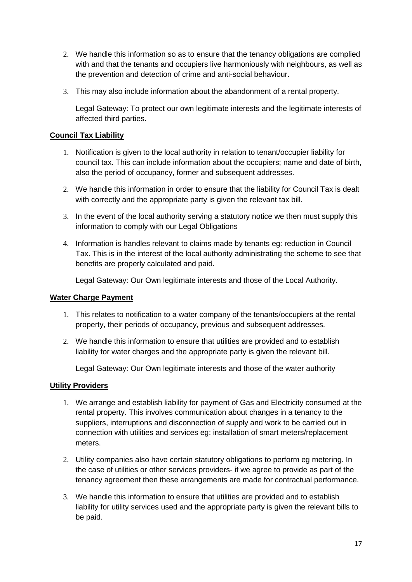- 2. We handle this information so as to ensure that the tenancy obligations are complied with and that the tenants and occupiers live harmoniously with neighbours, as well as the prevention and detection of crime and anti-social behaviour.
- 3. This may also include information about the abandonment of a rental property.

Legal Gateway: To protect our own legitimate interests and the legitimate interests of affected third parties.

## **Council Tax Liability**

- 1. Notification is given to the local authority in relation to tenant/occupier liability for council tax. This can include information about the occupiers; name and date of birth, also the period of occupancy, former and subsequent addresses.
- 2. We handle this information in order to ensure that the liability for Council Tax is dealt with correctly and the appropriate party is given the relevant tax bill.
- 3. In the event of the local authority serving a statutory notice we then must supply this information to comply with our Legal Obligations
- 4. Information is handles relevant to claims made by tenants eg: reduction in Council Tax. This is in the interest of the local authority administrating the scheme to see that benefits are properly calculated and paid.

Legal Gateway: Our Own legitimate interests and those of the Local Authority.

#### **Water Charge Payment**

- 1. This relates to notification to a water company of the tenants/occupiers at the rental property, their periods of occupancy, previous and subsequent addresses.
- 2. We handle this information to ensure that utilities are provided and to establish liability for water charges and the appropriate party is given the relevant bill.

Legal Gateway: Our Own legitimate interests and those of the water authority

#### **Utility Providers**

- 1. We arrange and establish liability for payment of Gas and Electricity consumed at the rental property. This involves communication about changes in a tenancy to the suppliers, interruptions and disconnection of supply and work to be carried out in connection with utilities and services eg: installation of smart meters/replacement meters.
- 2. Utility companies also have certain statutory obligations to perform eg metering. In the case of utilities or other services providers- if we agree to provide as part of the tenancy agreement then these arrangements are made for contractual performance.
- 3. We handle this information to ensure that utilities are provided and to establish liability for utility services used and the appropriate party is given the relevant bills to be paid.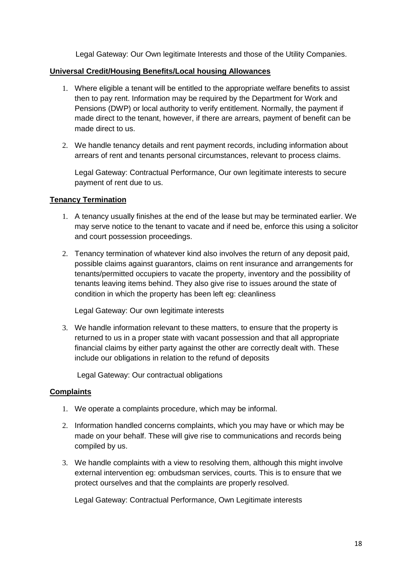Legal Gateway: Our Own legitimate Interests and those of the Utility Companies.

### **Universal Credit/Housing Benefits/Local housing Allowances**

- 1. Where eligible a tenant will be entitled to the appropriate welfare benefits to assist then to pay rent. Information may be required by the Department for Work and Pensions (DWP) or local authority to verify entitlement. Normally, the payment if made direct to the tenant, however, if there are arrears, payment of benefit can be made direct to us.
- 2. We handle tenancy details and rent payment records, including information about arrears of rent and tenants personal circumstances, relevant to process claims.

Legal Gateway: Contractual Performance, Our own legitimate interests to secure payment of rent due to us.

### **Tenancy Termination**

- 1. A tenancy usually finishes at the end of the lease but may be terminated earlier. We may serve notice to the tenant to vacate and if need be, enforce this using a solicitor and court possession proceedings.
- 2. Tenancy termination of whatever kind also involves the return of any deposit paid, possible claims against guarantors, claims on rent insurance and arrangements for tenants/permitted occupiers to vacate the property, inventory and the possibility of tenants leaving items behind. They also give rise to issues around the state of condition in which the property has been left eg: cleanliness

Legal Gateway: Our own legitimate interests

3. We handle information relevant to these matters, to ensure that the property is returned to us in a proper state with vacant possession and that all appropriate financial claims by either party against the other are correctly dealt with. These include our obligations in relation to the refund of deposits

Legal Gateway: Our contractual obligations

## **Complaints**

- 1. We operate a complaints procedure, which may be informal.
- 2. Information handled concerns complaints, which you may have or which may be made on your behalf. These will give rise to communications and records being compiled by us.
- 3. We handle complaints with a view to resolving them, although this might involve external intervention eg: ombudsman services, courts. This is to ensure that we protect ourselves and that the complaints are properly resolved.

Legal Gateway: Contractual Performance, Own Legitimate interests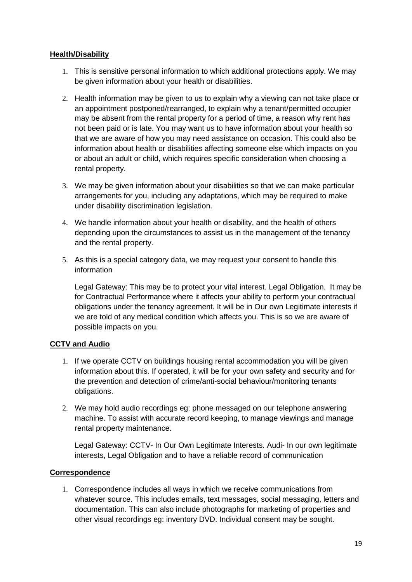### **Health/Disability**

- 1. This is sensitive personal information to which additional protections apply. We may be given information about your health or disabilities.
- 2. Health information may be given to us to explain why a viewing can not take place or an appointment postponed/rearranged, to explain why a tenant/permitted occupier may be absent from the rental property for a period of time, a reason why rent has not been paid or is late. You may want us to have information about your health so that we are aware of how you may need assistance on occasion. This could also be information about health or disabilities affecting someone else which impacts on you or about an adult or child, which requires specific consideration when choosing a rental property.
- 3. We may be given information about your disabilities so that we can make particular arrangements for you, including any adaptations, which may be required to make under disability discrimination legislation.
- 4. We handle information about your health or disability, and the health of others depending upon the circumstances to assist us in the management of the tenancy and the rental property.
- 5. As this is a special category data, we may request your consent to handle this information

Legal Gateway: This may be to protect your vital interest. Legal Obligation. It may be for Contractual Performance where it affects your ability to perform your contractual obligations under the tenancy agreement. It will be in Our own Legitimate interests if we are told of any medical condition which affects you. This is so we are aware of possible impacts on you.

## **CCTV and Audio**

- 1. If we operate CCTV on buildings housing rental accommodation you will be given information about this. If operated, it will be for your own safety and security and for the prevention and detection of crime/anti-social behaviour/monitoring tenants obligations.
- 2. We may hold audio recordings eg: phone messaged on our telephone answering machine. To assist with accurate record keeping, to manage viewings and manage rental property maintenance.

Legal Gateway: CCTV- In Our Own Legitimate Interests. Audi- In our own legitimate interests, Legal Obligation and to have a reliable record of communication

## **Correspondence**

1. Correspondence includes all ways in which we receive communications from whatever source. This includes emails, text messages, social messaging, letters and documentation. This can also include photographs for marketing of properties and other visual recordings eg: inventory DVD. Individual consent may be sought.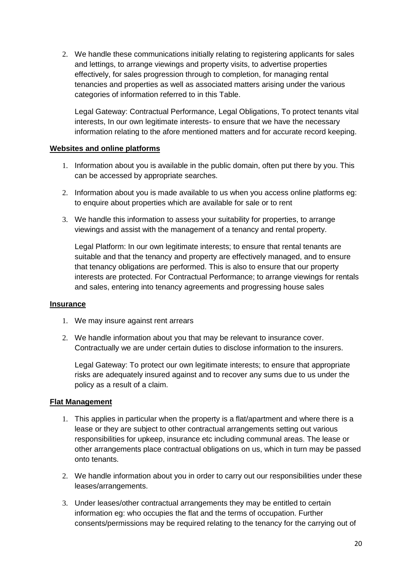2. We handle these communications initially relating to registering applicants for sales and lettings, to arrange viewings and property visits, to advertise properties effectively, for sales progression through to completion, for managing rental tenancies and properties as well as associated matters arising under the various categories of information referred to in this Table.

Legal Gateway: Contractual Performance, Legal Obligations, To protect tenants vital interests, In our own legitimate interests- to ensure that we have the necessary information relating to the afore mentioned matters and for accurate record keeping.

### **Websites and online platforms**

- 1. Information about you is available in the public domain, often put there by you. This can be accessed by appropriate searches.
- 2. Information about you is made available to us when you access online platforms eg: to enquire about properties which are available for sale or to rent
- 3. We handle this information to assess your suitability for properties, to arrange viewings and assist with the management of a tenancy and rental property.

Legal Platform: In our own legitimate interests; to ensure that rental tenants are suitable and that the tenancy and property are effectively managed, and to ensure that tenancy obligations are performed. This is also to ensure that our property interests are protected. For Contractual Performance; to arrange viewings for rentals and sales, entering into tenancy agreements and progressing house sales

#### **Insurance**

- 1. We may insure against rent arrears
- 2. We handle information about you that may be relevant to insurance cover. Contractually we are under certain duties to disclose information to the insurers.

Legal Gateway: To protect our own legitimate interests; to ensure that appropriate risks are adequately insured against and to recover any sums due to us under the policy as a result of a claim.

## **Flat Management**

- 1. This applies in particular when the property is a flat/apartment and where there is a lease or they are subject to other contractual arrangements setting out various responsibilities for upkeep, insurance etc including communal areas. The lease or other arrangements place contractual obligations on us, which in turn may be passed onto tenants.
- 2. We handle information about you in order to carry out our responsibilities under these leases/arrangements.
- 3. Under leases/other contractual arrangements they may be entitled to certain information eg: who occupies the flat and the terms of occupation. Further consents/permissions may be required relating to the tenancy for the carrying out of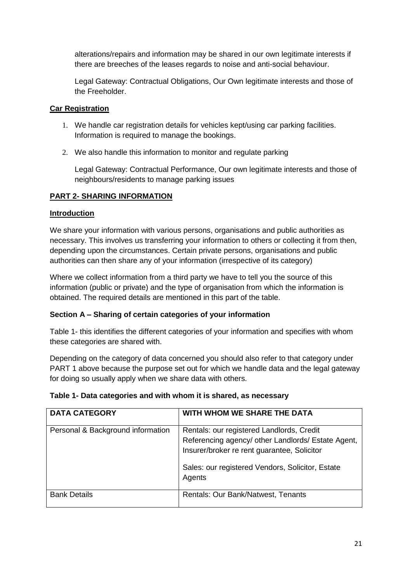alterations/repairs and information may be shared in our own legitimate interests if there are breeches of the leases regards to noise and anti-social behaviour.

Legal Gateway: Contractual Obligations, Our Own legitimate interests and those of the Freeholder.

### **Car Registration**

- 1. We handle car registration details for vehicles kept/using car parking facilities. Information is required to manage the bookings.
- 2. We also handle this information to monitor and regulate parking

Legal Gateway: Contractual Performance, Our own legitimate interests and those of neighbours/residents to manage parking issues

## **PART 2- SHARING INFORMATION**

#### **Introduction**

We share your information with various persons, organisations and public authorities as necessary. This involves us transferring your information to others or collecting it from then, depending upon the circumstances. Certain private persons, organisations and public authorities can then share any of your information (irrespective of its category)

Where we collect information from a third party we have to tell you the source of this information (public or private) and the type of organisation from which the information is obtained. The required details are mentioned in this part of the table.

#### **Section A – Sharing of certain categories of your information**

Table 1- this identifies the different categories of your information and specifies with whom these categories are shared with.

Depending on the category of data concerned you should also refer to that category under PART 1 above because the purpose set out for which we handle data and the legal gateway for doing so usually apply when we share data with others.

| <b>DATA CATEGORY</b>              | WITH WHOM WE SHARE THE DATA                                                                                                                                                                                  |
|-----------------------------------|--------------------------------------------------------------------------------------------------------------------------------------------------------------------------------------------------------------|
| Personal & Background information | Rentals: our registered Landlords, Credit<br>Referencing agency/ other Landlords/ Estate Agent,<br>Insurer/broker re rent guarantee, Solicitor<br>Sales: our registered Vendors, Solicitor, Estate<br>Agents |
| <b>Bank Details</b>               | Rentals: Our Bank/Natwest, Tenants                                                                                                                                                                           |

#### **Table 1- Data categories and with whom it is shared, as necessary**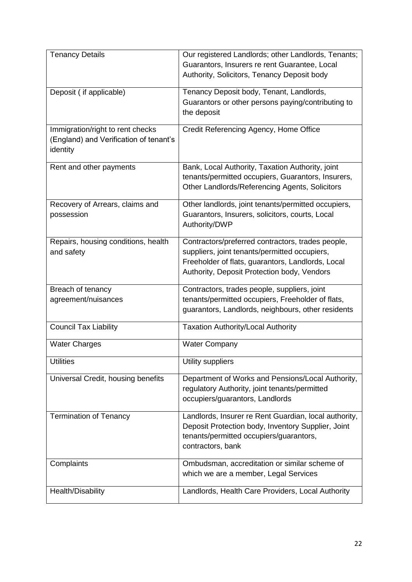| <b>Tenancy Details</b>                 | Our registered Landlords; other Landlords, Tenants;   |
|----------------------------------------|-------------------------------------------------------|
|                                        | Guarantors, Insurers re rent Guarantee, Local         |
|                                        | Authority, Solicitors, Tenancy Deposit body           |
| Deposit ( if applicable)               | Tenancy Deposit body, Tenant, Landlords,              |
|                                        | Guarantors or other persons paying/contributing to    |
|                                        | the deposit                                           |
| Immigration/right to rent checks       | Credit Referencing Agency, Home Office                |
| (England) and Verification of tenant's |                                                       |
| identity                               |                                                       |
| Rent and other payments                | Bank, Local Authority, Taxation Authority, joint      |
|                                        | tenants/permitted occupiers, Guarantors, Insurers,    |
|                                        | Other Landlords/Referencing Agents, Solicitors        |
|                                        |                                                       |
| Recovery of Arrears, claims and        | Other landlords, joint tenants/permitted occupiers,   |
| possession                             | Guarantors, Insurers, solicitors, courts, Local       |
|                                        | Authority/DWP                                         |
| Repairs, housing conditions, health    | Contractors/preferred contractors, trades people,     |
| and safety                             | suppliers, joint tenants/permitted occupiers,         |
|                                        | Freeholder of flats, guarantors, Landlords, Local     |
|                                        | Authority, Deposit Protection body, Vendors           |
| Breach of tenancy                      | Contractors, trades people, suppliers, joint          |
| agreement/nuisances                    | tenants/permitted occupiers, Freeholder of flats,     |
|                                        | guarantors, Landlords, neighbours, other residents    |
| <b>Council Tax Liability</b>           | <b>Taxation Authority/Local Authority</b>             |
|                                        |                                                       |
| <b>Water Charges</b>                   | <b>Water Company</b>                                  |
| <b>Utilities</b>                       | Utility suppliers                                     |
| Universal Credit, housing benefits     | Department of Works and Pensions/Local Authority,     |
|                                        | regulatory Authority, joint tenants/permitted         |
|                                        | occupiers/guarantors, Landlords                       |
| <b>Termination of Tenancy</b>          | Landlords, Insurer re Rent Guardian, local authority, |
|                                        | Deposit Protection body, Inventory Supplier, Joint    |
|                                        | tenants/permitted occupiers/guarantors,               |
|                                        | contractors, bank                                     |
|                                        |                                                       |
| Complaints                             | Ombudsman, accreditation or similar scheme of         |
|                                        | which we are a member, Legal Services                 |
| Health/Disability                      | Landlords, Health Care Providers, Local Authority     |
|                                        |                                                       |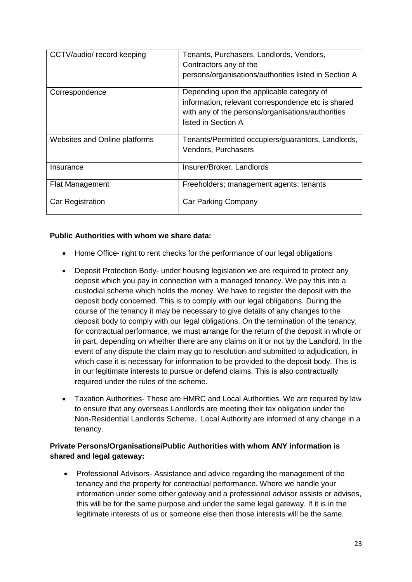| CCTV/audio/ record keeping    | Tenants, Purchasers, Landlords, Vendors,<br>Contractors any of the<br>persons/organisations/authorities listed in Section A                                                 |
|-------------------------------|-----------------------------------------------------------------------------------------------------------------------------------------------------------------------------|
| Correspondence                | Depending upon the applicable category of<br>information, relevant correspondence etc is shared<br>with any of the persons/organisations/authorities<br>listed in Section A |
| Websites and Online platforms | Tenants/Permitted occupiers/guarantors, Landlords,<br>Vendors, Purchasers                                                                                                   |
| Insurance                     | Insurer/Broker, Landlords                                                                                                                                                   |
| <b>Flat Management</b>        | Freeholders; management agents; tenants                                                                                                                                     |
| Car Registration              | <b>Car Parking Company</b>                                                                                                                                                  |

## **Public Authorities with whom we share data:**

- Home Office- right to rent checks for the performance of our legal obligations
- Deposit Protection Body- under housing legislation we are required to protect any deposit which you pay in connection with a managed tenancy. We pay this into a custodial scheme which holds the money. We have to register the deposit with the deposit body concerned. This is to comply with our legal obligations. During the course of the tenancy it may be necessary to give details of any changes to the deposit body to comply with our legal obligations. On the termination of the tenancy, for contractual performance, we must arrange for the return of the deposit in whole or in part, depending on whether there are any claims on it or not by the Landlord. In the event of any dispute the claim may go to resolution and submitted to adjudication, in which case it is necessary for information to be provided to the deposit body. This is in our legitimate interests to pursue or defend claims. This is also contractually required under the rules of the scheme.
- Taxation Authorities- These are HMRC and Local Authorities. We are required by law to ensure that any overseas Landlords are meeting their tax obligation under the Non-Residential Landlords Scheme. Local Authority are informed of any change in a tenancy.

## **Private Persons/Organisations/Public Authorities with whom ANY information is shared and legal gateway:**

• Professional Advisors- Assistance and advice regarding the management of the tenancy and the property for contractual performance. Where we handle your information under some other gateway and a professional advisor assists or advises, this will be for the same purpose and under the same legal gateway. If it is in the legitimate interests of us or someone else then those interests will be the same.